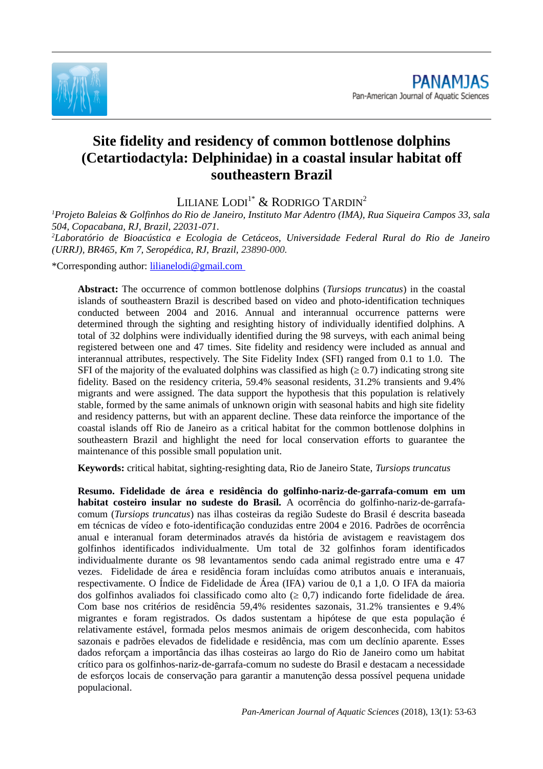

# **Site fidelity and residency of common bottlenose dolphins (Cetartiodactyla: Delphinidae) in a coastal insular habitat off southeastern Brazil**

LILIANE LODI<sup>1\*</sup> & RODRIGO TARDIN<sup>2</sup>

*<sup>1</sup>Projeto Baleias & Golfinhos do Rio de Janeiro, Instituto Mar Adentro (IMA), Rua Siqueira Campos 33, sala 504, Copacabana, RJ, Brazil, 22031-071.*

*<sup>2</sup>Laboratório de Bioacústica e Ecologia de Cetáceos, Universidade Federal Rural do Rio de Janeiro (URRJ), BR465, Km 7, Seropédica, RJ, Brazil, 23890-000.*

\*Corresponding author: [lilianelodi@gmail.com](mailto:lilianelodi@gmail.com)

**Abstract:** The occurrence of common bottlenose dolphins (*Tursiops truncatus*) in the coastal islands of southeastern Brazil is described based on video and photo-identification techniques conducted between 2004 and 2016. Annual and interannual occurrence patterns were determined through the sighting and resighting history of individually identified dolphins. A total of 32 dolphins were individually identified during the 98 surveys, with each animal being registered between one and 47 times. Site fidelity and residency were included as annual and interannual attributes, respectively. The Site Fidelity Index (SFI) ranged from 0.1 to 1.0. The SFI of the majority of the evaluated dolphins was classified as high  $(\geq 0.7)$  indicating strong site fidelity. Based on the residency criteria, 59.4% seasonal residents, 31.2% transients and 9.4% migrants and were assigned. The data support the hypothesis that this population is relatively stable, formed by the same animals of unknown origin with seasonal habits and high site fidelity and residency patterns, but with an apparent decline. These data reinforce the importance of the coastal islands off Rio de Janeiro as a critical habitat for the common bottlenose dolphins in southeastern Brazil and highlight the need for local conservation efforts to guarantee the maintenance of this possible small population unit.

**Keywords:** critical habitat, sighting-resighting data, Rio de Janeiro State, *Tursiops truncatus*

**Resumo. Fidelidade de área e residência do golfinho-nariz-de-garrafa-comum em um habitat costeiro insular no sudeste do Brasil.** A ocorrência do golfinho-nariz-de-garrafacomum (*Tursiops truncatus*) nas ilhas costeiras da região Sudeste do Brasil é descrita baseada em técnicas de vídeo e foto-identificação conduzidas entre 2004 e 2016. Padrões de ocorrência anual e interanual foram determinados através da história de avistagem e reavistagem dos golfinhos identificados individualmente. Um total de 32 golfinhos foram identificados individualmente durante os 98 levantamentos sendo cada animal registrado entre uma e 47 vezes. Fidelidade de área e residência foram incluídas como atributos anuais e interanuais, respectivamente. O Índice de Fidelidade de Área (IFA) variou de 0,1 a 1,0. O IFA da maioria dos golfinhos avaliados foi classificado como alto ( $\geq 0.7$ ) indicando forte fidelidade de área. Com base nos critérios de residência 59,4% residentes sazonais, 31.2% transientes e 9.4% migrantes e foram registrados. Os dados sustentam a hipótese de que esta população é relativamente estável, formada pelos mesmos animais de origem desconhecida, com habitos sazonais e padrões elevados de fidelidade e residência, mas com um declínio aparente. Esses dados reforçam a importância das ilhas costeiras ao largo do Rio de Janeiro como um habitat crítico para os golfinhos-nariz-de-garrafa-comum no sudeste do Brasil e destacam a necessidade de esforços locais de conservação para garantir a manutenção dessa possível pequena unidade populacional.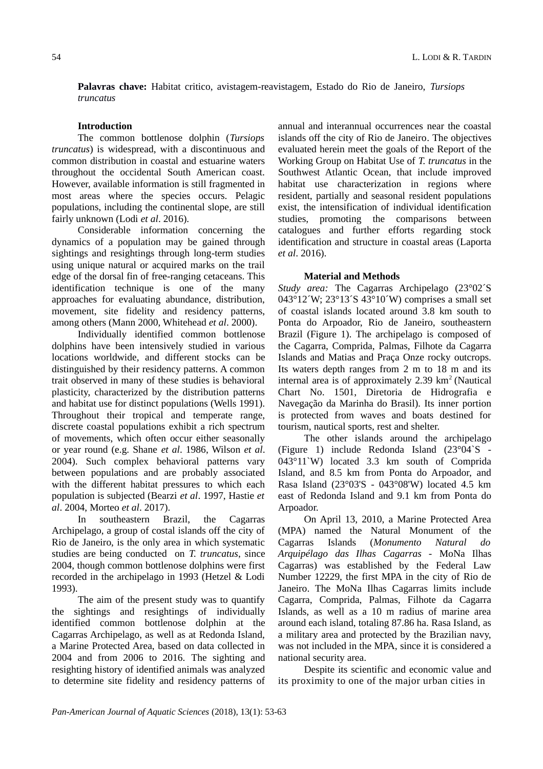**Palavras chave:** Habitat critico, avistagem-reavistagem, Estado do Rio de Janeiro, *Tursiops truncatus*

## **Introduction**

The common bottlenose dolphin (*Tursiops truncatus*) is widespread, with a discontinuous and common distribution in coastal and estuarine waters throughout the occidental South American coast. However, available information is still fragmented in most areas where the species occurs. Pelagic populations, including the continental slope, are still fairly unknown (Lodi *et al*. 2016).

Considerable information concerning the dynamics of a population may be gained through sightings and resightings through long-term studies using unique natural or acquired marks on the trail edge of the dorsal fin of free-ranging cetaceans. This identification technique is one of the many approaches for evaluating abundance, distribution, movement, site fidelity and residency patterns, among others (Mann 2000, Whitehead *et al*. 2000).

Individually identified common bottlenose dolphins have been intensively studied in various locations worldwide, and different stocks can be distinguished by their residency patterns. A common trait observed in many of these studies is behavioral plasticity, characterized by the distribution patterns and habitat use for distinct populations (Wells 1991). Throughout their tropical and temperate range, discrete coastal populations exhibit a rich spectrum of movements, which often occur either seasonally or year round (e.g. Shane *et al*. 1986, Wilson *et al*. 2004). Such complex behavioral patterns vary between populations and are probably associated with the different habitat pressures to which each population is subjected (Bearzi *et al*. 1997, Hastie *et al*. 2004, Morteo *et al*. 2017).

In southeastern Brazil, the Cagarras Archipelago, a group of costal islands off the city of Rio de Janeiro, is the only area in which systematic studies are being conducted on *T. truncatus*, since 2004, though common bottlenose dolphins were first recorded in the archipelago in 1993 (Hetzel & Lodi 1993).

The aim of the present study was to quantify the sightings and resightings of individually identified common bottlenose dolphin at the Cagarras Archipelago, as well as at Redonda Island, a Marine Protected Area, based on data collected in 2004 and from 2006 to 2016. The sighting and resighting history of identified animals was analyzed to determine site fidelity and residency patterns of

annual and interannual occurrences near the coastal islands off the city of Rio de Janeiro. The objectives evaluated herein meet the goals of the Report of the Working Group on Habitat Use of *T. truncatus* in the Southwest Atlantic Ocean, that include improved habitat use characterization in regions where resident, partially and seasonal resident populations exist, the intensification of individual identification studies, promoting the comparisons between catalogues and further efforts regarding stock identification and structure in coastal areas (Laporta *et al*. 2016).

#### **Material and Methods**

*Study area:* The Cagarras Archipelago (23°02´S 043°12´W; 23°13´S 43°10´W) comprises a small set of coastal islands located around 3.8 km south to Ponta do Arpoador, Rio de Janeiro, southeastern Brazil (Figure 1). The archipelago is composed of the Cagarra, Comprida, Palmas, Filhote da Cagarra Islands and Matias and Praça Onze rocky outcrops. Its waters depth ranges from 2 m to 18 m and its internal area is of approximately  $2.39 \text{ km}^2$  (Nautical Chart No. 1501, Diretoria de Hidrografia e Navegação da Marinha do Brasil). Its inner portion is protected from waves and boats destined for tourism, nautical sports, rest and shelter.

The other islands around the archipelago (Figure 1) include Redonda Island (23°04`S - 043°11`W) located 3.3 km south of Comprida Island, and 8.5 km from Ponta do Arpoador, and Rasa Island (23°03'S - 043°08'W) located 4.5 km east of Redonda Island and 9.1 km from Ponta do Arpoador.

On April 13, 2010, a Marine Protected Area (MPA) named the Natural Monument of the Cagarras Islands (*Monumento Natural do Arquipélago das Ilhas Cagarras -* MoNa Ilhas Cagarras) was established by the Federal Law Number 12229, the first MPA in the city of Rio de Janeiro. The MoNa Ilhas Cagarras limits include Cagarra, Comprida, Palmas, Filhote da Cagarra Islands, as well as a 10 m radius of marine area around each island, totaling 87.86 ha. Rasa Island, as a military area and protected by the Brazilian navy, was not included in the MPA, since it is considered a national security area.

Despite its scientific and economic value and its proximity to one of the major urban cities in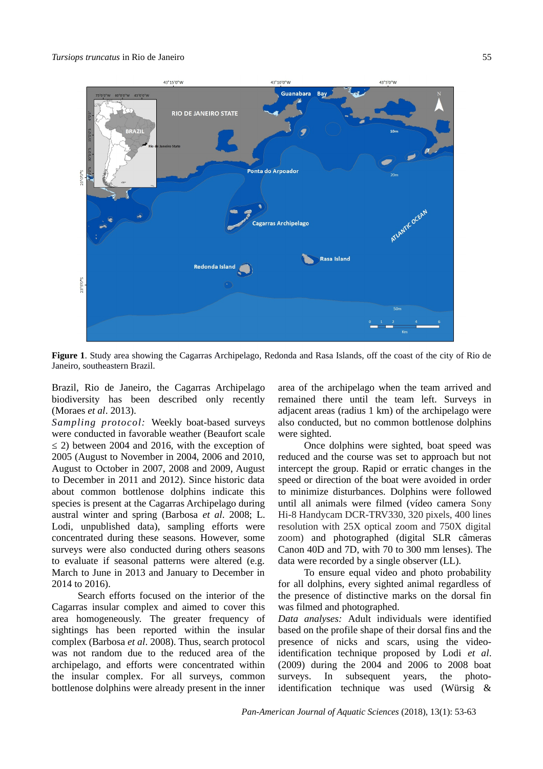#### *Tursiops truncatus* in Rio de Janeiro 55



**Figure 1**. Study area showing the Cagarras Archipelago, Redonda and Rasa Islands, off the coast of the city of Rio de Janeiro, southeastern Brazil.

Brazil, Rio de Janeiro, the Cagarras Archipelago biodiversity has been described only recently (Moraes *et al*. 2013).

*Sampling protocol:* Weekly boat-based surveys were conducted in favorable weather (Beaufort scale  $\leq$  2) between 2004 and 2016, with the exception of 2005 (August to November in 2004, 2006 and 2010, August to October in 2007, 2008 and 2009, August to December in 2011 and 2012). Since historic data about common bottlenose dolphins indicate this species is present at the Cagarras Archipelago during austral winter and spring (Barbosa *et al*. 2008; L. Lodi, unpublished data), sampling efforts were concentrated during these seasons. However, some surveys were also conducted during others seasons to evaluate if seasonal patterns were altered (e.g. March to June in 2013 and January to December in 2014 to 2016).

Search efforts focused on the interior of the Cagarras insular complex and aimed to cover this area homogeneously. The greater frequency of sightings has been reported within the insular complex (Barbosa *et al*. 2008). Thus, search protocol was not random due to the reduced area of the archipelago, and efforts were concentrated within the insular complex. For all surveys, common bottlenose dolphins were already present in the inner

area of the archipelago when the team arrived and remained there until the team left. Surveys in adjacent areas (radius 1 km) of the archipelago were also conducted, but no common bottlenose dolphins were sighted.

Once dolphins were sighted, boat speed was reduced and the course was set to approach but not intercept the group. Rapid or erratic changes in the speed or direction of the boat were avoided in order to minimize disturbances. Dolphins were followed until all animals were filmed (vídeo camera Sony Hi-8 Handycam DCR-TRV330, 320 pixels, 400 lines resolution with 25X optical zoom and 750X digital zoom) and photographed (digital SLR câmeras Canon 40D and 7D, with 70 to 300 mm lenses). The data were recorded by a single observer (LL).

To ensure equal video and photo probability for all dolphins, every sighted animal regardless of the presence of distinctive marks on the dorsal fin was filmed and photographed.

*Data analyses:* Adult individuals were identified based on the profile shape of their dorsal fins and the presence of nicks and scars, using the videoidentification technique proposed by Lodi *et al*. (2009) during the 2004 and 2006 to 2008 boat surveys. In subsequent years, the photoidentification technique was used (Würsig &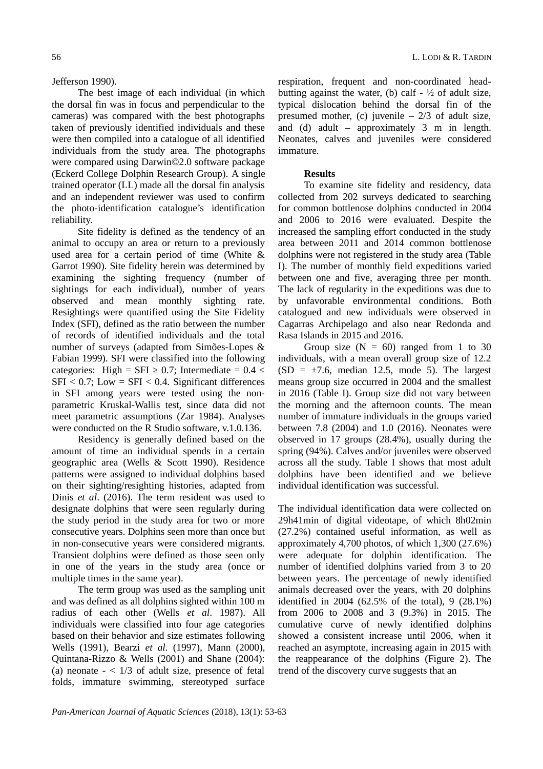## Jefferson 1990).

The best image of each individual (in which the dorsal fin was in focus and perpendicular to the cameras) was compared with the best photographs taken of previously identified individuals and these were then compiled into a catalogue of all identified individuals from the study area. The photographs were compared using Darwin©2.0 software package (Eckerd College Dolphin Research Group). A single trained operator (LL) made all the dorsal fin analysis and an independent reviewer was used to confirm the photo-identification catalogue's identification reliability.

Site fidelity is defined as the tendency of an animal to occupy an area or return to a previously used area for a certain period of time (White & Garrot 1990). Site fidelity herein was determined by examining the sighting frequency (number of sightings for each individual), number of years observed and mean monthly sighting rate. Resightings were quantified using the Site Fidelity Index (SFI), defined as the ratio between the number of records of identified individuals and the total number of surveys (adapted from Simões-Lopes & Fabian 1999). SFI were classified into the following categories: High = SFI  $\geq$  0.7; Intermediate = 0.4  $\leq$  $SFI < 0.7$ ; Low =  $SFI < 0.4$ . Significant differences in SFI among years were tested using the nonparametric Kruskal-Wallis test, since data did not meet parametric assumptions (Zar 1984). Analyses were conducted on the R Studio software, v.1.0.136.

Residency is generally defined based on the amount of time an individual spends in a certain geographic area (Wells & Scott 1990). Residence patterns were assigned to individual dolphins based on their sighting/resighting histories, adapted from Dinis *et al*. (2016). The term resident was used to designate dolphins that were seen regularly during the study period in the study area for two or more consecutive years. Dolphins seen more than once but in non-consecutive years were considered migrants. Transient dolphins were defined as those seen only in one of the years in the study area (once or multiple times in the same year).

The term group was used as the sampling unit and was defined as all dolphins sighted within 100 m radius of each other (Wells *et al*. 1987). All individuals were classified into four age categories based on their behavior and size estimates following Wells (1991), Bearzi *et al.* (1997), Mann (2000), Quintana-Rizzo & Wells (2001) and Shane (2004): (a) neonate  $- < 1/3$  of adult size, presence of fetal folds, immature swimming, stereotyped surface

respiration, frequent and non-coordinated headbutting against the water, (b) calf  $-$  <sup>1</sup>/<sub>2</sub> of adult size, typical dislocation behind the dorsal fin of the presumed mother, (c) juvenile – 2/3 of adult size, and (d) adult – approximately 3 m in length. Neonates, calves and juveniles were considered immature.

#### **Results**

To examine site fidelity and residency, data collected from 202 surveys dedicated to searching for common bottlenose dolphins conducted in 2004 and 2006 to 2016 were evaluated. Despite the increased the sampling effort conducted in the study area between 2011 and 2014 common bottlenose dolphins were not registered in the study area (Table I). The number of monthly field expeditions varied between one and five, averaging three per month. The lack of regularity in the expeditions was due to by unfavorable environmental conditions. Both catalogued and new individuals were observed in Cagarras Archipelago and also near Redonda and Rasa Islands in 2015 and 2016.

Group size  $(N = 60)$  ranged from 1 to 30 individuals, with a mean overall group size of 12.2  $(SD = \pm 7.6$ , median 12.5, mode 5). The largest means group size occurred in 2004 and the smallest in 2016 (Table I). Group size did not vary between the morning and the afternoon counts. The mean number of immature individuals in the groups varied between 7.8 (2004) and 1.0 (2016). Neonates were observed in 17 groups (28.4%), usually during the spring (94%). Calves and/or juveniles were observed across all the study. Table I shows that most adult dolphins have been identified and we believe individual identification was successful.

The individual identification data were collected on 29h41min of digital videotape, of which 8h02min (27.2%) contained useful information, as well as approximately 4,700 photos, of which 1,300 (27.6%) were adequate for dolphin identification. The number of identified dolphins varied from 3 to 20 between years. The percentage of newly identified animals decreased over the years, with 20 dolphins identified in 2004 (62.5% of the total), 9 (28.1%) from 2006 to 2008 and 3 (9.3%) in 2015. The cumulative curve of newly identified dolphins showed a consistent increase until 2006, when it reached an asymptote, increasing again in 2015 with the reappearance of the dolphins (Figure 2). The trend of the discovery curve suggests that an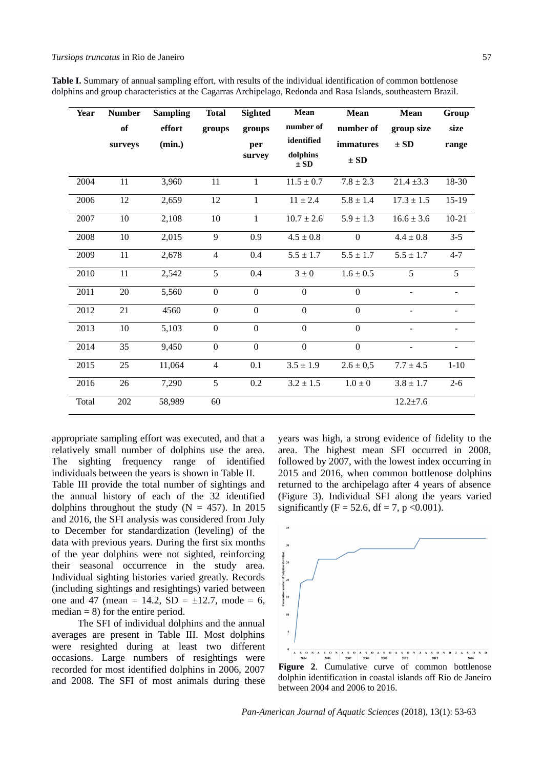**Table I.** Summary of annual sampling effort, with results of the individual identification of common bottlenose dolphins and group characteristics at the Cagarras Archipelago, Redonda and Rasa Islands, southeastern Brazil.

| <b>Year</b>  | <b>Number</b> | <b>Sampling</b> | <b>Total</b>     | <b>Sighted</b>   | <b>Mean</b>                      | <b>Mean</b>      | Mean           | Group                    |
|--------------|---------------|-----------------|------------------|------------------|----------------------------------|------------------|----------------|--------------------------|
|              | of            | effort          | groups           | groups           | number of                        | number of        | group size     | size                     |
|              | surveys       | (min.)          |                  | per              | identified                       | immatures        | $\pm$ SD       | range                    |
|              |               |                 |                  | survey           | dolphins<br>$\pm$ SD             | $\pm$ SD         |                |                          |
| 2004         | 11            | 3,960           | 11               | $\mathbf{1}$     | $11.5 \pm 0.7$                   | $7.8 \pm 2.3$    | $21.4 \pm 3.3$ | 18-30                    |
| 2006         | 12            | 2,659           | 12               | $\mathbf{1}$     | $11 \pm 2.4$                     | $5.8 \pm 1.4$    | $17.3 \pm 1.5$ | 15-19                    |
| 2007         | $10\,$        | 2,108           | $10\,$           | $\mathbf{1}$     | $10.7 \pm 2.6$                   | $5.9 \pm 1.3$    | $16.6 \pm 3.6$ | $10 - 21$                |
| 2008         | 10            | 2,015           | 9                | 0.9              | $4.5 \pm 0.8$                    | $\boldsymbol{0}$ | $4.4 \pm 0.8$  | $3 - 5$                  |
| 2009         | 11            | 2,678           | $\overline{4}$   | 0.4              | $5.5 \pm 1.7$                    | $5.5 \pm 1.7$    | $5.5 \pm 1.7$  | $4 - 7$                  |
| 2010         | 11            | 2,542           | 5                | 0.4              | $3 \pm 0$                        | $1.6 \pm 0.5$    | 5              | 5                        |
| 2011         | 20            | 5,560           | $\boldsymbol{0}$ | $\boldsymbol{0}$ | $\Omega$                         | $\boldsymbol{0}$ |                | $\overline{\phantom{0}}$ |
| 2012         | 21            | 4560            | $\overline{0}$   | $\overline{0}$   | $\overline{0}$                   | $\overline{0}$   |                | $\overline{\phantom{a}}$ |
| 2013         | 10            | 5,103           | $\boldsymbol{0}$ | $\boldsymbol{0}$ | $\overline{0}$<br>$\overline{0}$ |                  | $\blacksquare$ | $\blacksquare$           |
| 2014         | 35            | 9,450           | $\overline{0}$   | $\boldsymbol{0}$ | $\overline{0}$                   | $\overline{0}$   |                |                          |
| 2015         | 25            | 11,064          | $\overline{4}$   | 0.1              | $3.5 \pm 1.9$                    | $2.6 \pm 0.5$    | $7.7 \pm 4.5$  | $1 - 10$                 |
| 2016         | 26            | 7,290           | 5                | 0.2              | $3.2 \pm 1.5$                    | $1.0\pm0$        | $3.8 \pm 1.7$  | $2 - 6$                  |
| <b>Total</b> | 202           | 58,989          | 60               |                  |                                  |                  | $12.2 \pm 7.6$ |                          |

appropriate sampling effort was executed, and that a relatively small number of dolphins use the area. The sighting frequency range of identified individuals between the years is shown in Table II.

Table III provide the total number of sightings and the annual history of each of the 32 identified dolphins throughout the study ( $N = 457$ ). In 2015 and 2016, the SFI analysis was considered from July to December for standardization (leveling) of the data with previous years. During the first six months of the year dolphins were not sighted, reinforcing their seasonal occurrence in the study area. Individual sighting histories varied greatly. Records (including sightings and resightings) varied between one and 47 (mean = 14.2, SD =  $\pm$ 12.7, mode = 6, median  $= 8$ ) for the entire period.

The SFI of individual dolphins and the annual averages are present in Table III. Most dolphins were resighted during at least two different occasions. Large numbers of resightings were recorded for most identified dolphins in 2006, 2007 and 2008. The SFI of most animals during these years was high, a strong evidence of fidelity to the area. The highest mean SFI occurred in 2008, followed by 2007, with the lowest index occurring in 2015 and 2016, when common bottlenose dolphins returned to the archipelago after 4 years of absence (Figure 3). Individual SFI along the years varied significantly (F = 52.6, df = 7, p < 0.001).



dolphin identification in coastal islands off Rio de Janeiro between 2004 and 2006 to 2016.

*Pan-American Journal of Aquatic Sciences* (2018), 13(1): 53-63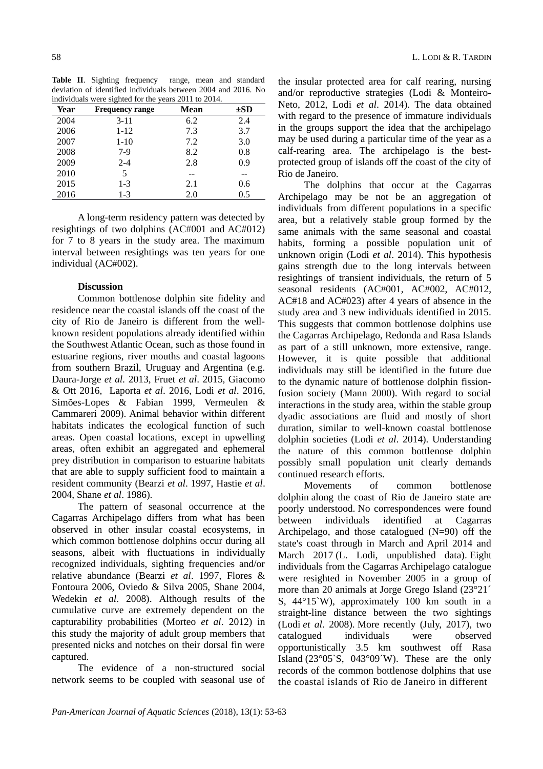**Table II**. Sighting frequency range, mean and standard deviation of identified individuals between 2004 and 2016. No individuals were sighted for the years 2011 to 2014.

| murviduals were signied for the years 2011 to 2014. |                        |      |          |  |  |  |  |
|-----------------------------------------------------|------------------------|------|----------|--|--|--|--|
| Year                                                | <b>Frequency range</b> | Mean | $\pm SD$ |  |  |  |  |
| 2004                                                | $3 - 11$               | 6.2  | 2.4      |  |  |  |  |
| 2006                                                | $1 - 12$               | 7.3  | 3.7      |  |  |  |  |
| 2007                                                | $1 - 10$               | 7.2  | 3.0      |  |  |  |  |
| 2008                                                | $7-9$                  | 8.2  | 0.8      |  |  |  |  |
| 2009                                                | $2 - 4$                | 2.8  | 0.9      |  |  |  |  |
| 2010                                                | 5                      |      |          |  |  |  |  |
| 2015                                                | $1-3$                  | 2.1  | 0.6      |  |  |  |  |
| 2016                                                | $1-3$                  | 2.0  | 0.5      |  |  |  |  |

A long-term residency pattern was detected by resightings of two dolphins (AC#001 and AC#012) for 7 to 8 years in the study area. The maximum interval between resightings was ten years for one individual (AC#002).

## **Discussion**

Common bottlenose dolphin site fidelity and residence near the coastal islands off the coast of the city of Rio de Janeiro is different from the wellknown resident populations already identified within the Southwest Atlantic Ocean, such as those found in estuarine regions, river mouths and coastal lagoons from southern Brazil, Uruguay and Argentina (e.g. Daura-Jorge *et al.* 2013, Fruet *et al*. 2015, Giacomo & Ott 2016, Laporta *et al*. 2016, Lodi *et al*. 2016, Simões-Lopes & Fabian 1999, Vermeulen & Cammareri 2009). Animal behavior within different habitats indicates the ecological function of such areas. Open coastal locations, except in upwelling areas, often exhibit an aggregated and ephemeral prey distribution in comparison to estuarine habitats that are able to supply sufficient food to maintain a resident community (Bearzi *et al*. 1997, Hastie *et al*. 2004, Shane *et al*. 1986).

The pattern of seasonal occurrence at the Cagarras Archipelago differs from what has been observed in other insular coastal ecosystems, in which common bottlenose dolphins occur during all seasons, albeit with fluctuations in individually recognized individuals, sighting frequencies and/or relative abundance (Bearzi *et al*. 1997, Flores & Fontoura 2006, Oviedo & Silva 2005, Shane 2004, Wedekin *et al*. 2008). Although results of the cumulative curve are extremely dependent on the capturability probabilities (Morteo *et al*. 2012) in this study the majority of adult group members that presented nicks and notches on their dorsal fin were captured.

The evidence of a non-structured social network seems to be coupled with seasonal use of

the insular protected area for calf rearing, nursing and/or reproductive strategies (Lodi & Monteiro-Neto, 2012, Lodi *et al*. 2014). The data obtained with regard to the presence of immature individuals in the groups support the idea that the archipelago may be used during a particular time of the year as a calf-rearing area. The archipelago is the bestprotected group of islands off the coast of the city of Rio de Janeiro.

The dolphins that occur at the Cagarras Archipelago may be not be an aggregation of individuals from different populations in a specific area, but a relatively stable group formed by the same animals with the same seasonal and coastal habits, forming a possible population unit of unknown origin (Lodi *et al*. 2014). This hypothesis gains strength due to the long intervals between resightings of transient individuals, the return of 5 seasonal residents (AC#001, AC#002, AC#012, AC#18 and AC#023) after 4 years of absence in the study area and 3 new individuals identified in 2015. This suggests that common bottlenose dolphins use the Cagarras Archipelago, Redonda and Rasa Islands as part of a still unknown, more extensive, range. However, it is quite possible that additional individuals may still be identified in the future due to the dynamic nature of bottlenose dolphin fissionfusion society (Mann 2000). With regard to social interactions in the study area, within the stable group dyadic associations are fluid and mostly of short duration, similar to well-known coastal bottlenose dolphin societies (Lodi *et al*. 2014). Understanding the nature of this common bottlenose dolphin possibly small population unit clearly demands continued research efforts.

Movements of common bottlenose dolphin along the coast of Rio de Janeiro state are poorly understood. No correspondences were found between individuals identified at Cagarras Archipelago, and those catalogued (N=90) off the state's coast through in March and April 2014 and March 2017 (L. Lodi, unpublished data). Eight individuals from the Cagarras Archipelago catalogue were resighted in November 2005 in a group of more than 20 animals at Jorge Grego Island (23°21<sup>'</sup> S, 44°15`W), approximately 100 km south in a straight-line distance between the two sightings (Lodi *et al*. 2008). More recently (July, 2017), two catalogued individuals were observed opportunistically 3.5 km southwest off Rasa Island (23 $\degree$ 05`S, 043 $\degree$ 09´W). These are the only records of the common bottlenose dolphins that use the coastal islands of Rio de Janeiro in different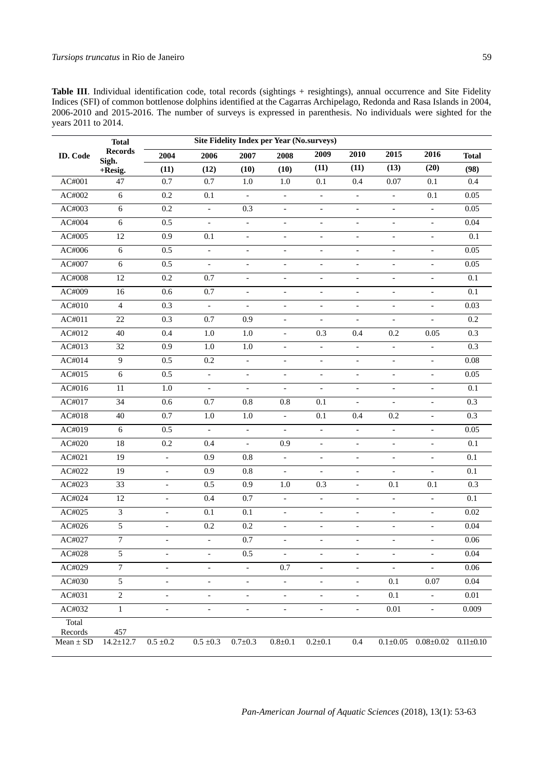| Table III. Individual identification code, total records (sightings + resightings), annual occurrence and Site Fidelity |  |
|-------------------------------------------------------------------------------------------------------------------------|--|
| Indices (SFI) of common bottlenose dolphins identified at the Cagarras Archipelago, Redonda and Rasa Islands in 2004,   |  |
| 2006-2010 and 2015-2016. The number of surveys is expressed in parenthesis. No individuals were sighted for the         |  |
| vears 2011 to 2014.                                                                                                     |  |

|                          | <b>Total</b>            | <b>Site Fidelity Index per Year (No.surveys)</b> |                          |                              |                          |                              |                              |                              |                          |                 |
|--------------------------|-------------------------|--------------------------------------------------|--------------------------|------------------------------|--------------------------|------------------------------|------------------------------|------------------------------|--------------------------|-----------------|
| <b>ID.</b> Code          | <b>Records</b><br>Sigh. | 2004                                             | 2006                     | 2007                         | 2008                     | 2009                         | 2010                         | 2015                         | 2016                     | <b>Total</b>    |
|                          | +Resig.                 | (11)                                             | (12)                     | (10)                         | (10)                     | (11)                         | (11)                         | (13)                         | (20)                     | (98)            |
| AC#001                   | 47                      | 0.7                                              | 0.7                      | 1.0                          | $1.0\,$                  | 0.1                          | 0.4                          | 0.07                         | $0.1\,$                  | 0.4             |
| AC#002                   | $\,6\,$                 | 0.2                                              | 0.1                      | $\blacksquare$               | $\blacksquare$           | $\overline{\phantom{0}}$     | $\overline{\phantom{a}}$     | $\blacksquare$               | $0.1\,$                  | 0.05            |
| AC#003                   | $\,6\,$                 | 0.2                                              | ÷,                       | 0.3                          | $\overline{\phantom{a}}$ | $\overline{\phantom{0}}$     | $\overline{\phantom{a}}$     | $\overline{\phantom{a}}$     | $\overline{a}$           | 0.05            |
| AC#004                   | $\,6\,$                 | 0.5                                              | $\overline{\phantom{0}}$ | $\overline{\phantom{a}}$     | $\blacksquare$           | $\overline{\phantom{0}}$     | $\overline{\phantom{a}}$     | $\qquad \qquad \blacksquare$ | $\overline{\phantom{a}}$ | 0.04            |
| AC#005                   | 12                      | 0.9                                              | 0.1                      | $\overline{\phantom{a}}$     | $\blacksquare$           | $\overline{\phantom{0}}$     | $\overline{\phantom{a}}$     | $\overline{\phantom{a}}$     | $\overline{\phantom{0}}$ | $0.1\,$         |
| AC#006                   | $\,6\,$                 | 0.5                                              | $\frac{1}{2}$            | $\qquad \qquad \blacksquare$ | $\overline{\phantom{a}}$ | $\overline{\phantom{0}}$     | $\overline{\phantom{a}}$     | $\overline{\phantom{a}}$     | $\overline{\phantom{a}}$ | 0.05            |
| AC#007                   | $\,6\,$                 | 0.5                                              | $\overline{\phantom{0}}$ | $\blacksquare$               | $\blacksquare$           | $\overline{\phantom{0}}$     | $\overline{\phantom{a}}$     | $\overline{\phantom{a}}$     | $\overline{\phantom{a}}$ | 0.05            |
| AC#008                   | 12                      | 0.2                                              | 0.7                      | $\overline{\phantom{a}}$     | $\overline{\phantom{a}}$ | $\overline{\phantom{0}}$     | $\overline{\phantom{a}}$     | $\overline{\phantom{a}}$     | $\overline{\phantom{a}}$ | $0.1\,$         |
| AC#009                   | 16                      | 0.6                                              | 0.7                      | $\qquad \qquad \blacksquare$ | $\overline{\phantom{a}}$ | $\overline{\phantom{0}}$     | $\overline{\phantom{a}}$     | $\overline{\phantom{a}}$     | $\overline{\phantom{0}}$ | $0.1\,$         |
| AC#010                   | $\overline{4}$          | $0.3\,$                                          | $\overline{\phantom{0}}$ | $\overline{\phantom{a}}$     | $\overline{\phantom{a}}$ | $\overline{\phantom{0}}$     | $\overline{\phantom{a}}$     | $\overline{\phantom{a}}$     | $\overline{\phantom{a}}$ | 0.03            |
| AC#011                   | 22                      | 0.3                                              | 0.7                      | 0.9                          | $\blacksquare$           | $\overline{a}$               | $\blacksquare$               | $\overline{\phantom{a}}$     | $\overline{a}$           | 0.2             |
| AC#012                   | 40                      | 0.4                                              | 1.0                      | $1.0\,$                      | $\overline{\phantom{a}}$ | 0.3                          | 0.4                          | 0.2                          | 0.05                     | 0.3             |
| AC#013                   | $\overline{32}$         | 0.9                                              | $1.0\,$                  | $1.0\,$                      | $\overline{\phantom{a}}$ | $\overline{\phantom{0}}$     | $\overline{\phantom{a}}$     | $\blacksquare$               | $\overline{a}$           | 0.3             |
| AC#014                   | $\boldsymbol{9}$        | $0.5\,$                                          | $0.2\,$                  | $\overline{\phantom{a}}$     | $\overline{\phantom{a}}$ | $\qquad \qquad \blacksquare$ | $\overline{\phantom{a}}$     | $\blacksquare$               | $\overline{\phantom{0}}$ | 0.08            |
| AC#015                   | $\overline{6}$          | 0.5                                              | $\overline{\phantom{a}}$ | $\frac{1}{2}$                | $\blacksquare$           | $\overline{a}$               | $\overline{\phantom{a}}$     | $\frac{1}{2}$                | $\overline{a}$           | 0.05            |
| AC#016                   | $11\,$                  | 1.0                                              | ÷,                       | $\frac{1}{2}$                | $\overline{\phantom{a}}$ | $\overline{a}$               | $\overline{\phantom{a}}$     | $\overline{\phantom{a}}$     | $\overline{\phantom{a}}$ | $0.1\,$         |
| AC#017                   | $\overline{34}$         | 0.6                                              | 0.7                      | 0.8                          | 0.8                      | 0.1                          | $\overline{\phantom{a}}$     | $\blacksquare$               | $\overline{a}$           | 0.3             |
| AC#018                   | $40\,$                  | 0.7                                              | $1.0\,$                  | $1.0\,$                      | $\overline{\phantom{a}}$ | 0.1                          | 0.4                          | 0.2                          | $\overline{\phantom{a}}$ | 0.3             |
| AC#019                   | $\overline{6}$          | 0.5                                              | $\overline{a}$           | $\overline{a}$               | $\blacksquare$           | L.                           | $\blacksquare$               | $\overline{\phantom{a}}$     | $\overline{a}$           | 0.05            |
| AC#020                   | 18                      | 0.2                                              | 0.4                      | $\overline{\phantom{a}}$     | 0.9                      | $\overline{\phantom{a}}$     | $\overline{\phantom{a}}$     | $\blacksquare$               | $\overline{\phantom{a}}$ | $0.1\,$         |
| AC#021                   | 19                      | $\frac{1}{2}$                                    | 0.9                      | $0.8\,$                      | $\overline{\phantom{a}}$ | $\overline{a}$               | $\overline{\phantom{a}}$     | $\blacksquare$               | $\overline{\phantom{0}}$ | 0.1             |
| AC#022                   | 19                      | $\qquad \qquad \blacksquare$                     | 0.9                      | $0.8\,$                      | $\overline{\phantom{a}}$ | $\overline{\phantom{a}}$     | $\overline{\phantom{a}}$     | $\overline{\phantom{a}}$     | $\overline{\phantom{a}}$ | $0.1\,$         |
| AC#023                   | 33                      | $\overline{\phantom{0}}$                         | 0.5                      | 0.9                          | $1.0\,$                  | 0.3                          | $\overline{\phantom{a}}$     | 0.1                          | $0.1\,$                  | 0.3             |
| AC#024                   | 12                      | $\overline{\phantom{a}}$                         | 0.4                      | 0.7                          | $\overline{\phantom{a}}$ | $\overline{\phantom{a}}$     | $\overline{\phantom{a}}$     | $\overline{\phantom{a}}$     | $\overline{\phantom{a}}$ | $0.1\,$         |
| AC#025                   | $\overline{3}$          | $\overline{\phantom{0}}$                         | 0.1                      | 0.1                          | $\overline{\phantom{a}}$ | $\overline{\phantom{0}}$     | $\overline{\phantom{a}}$     | $\overline{\phantom{0}}$     | $\overline{\phantom{0}}$ | 0.02            |
| AC#026                   | 5                       | $\qquad \qquad \blacksquare$                     | 0.2                      | $0.2\,$                      | $\overline{\phantom{a}}$ | $\overline{\phantom{0}}$     | $\overline{\phantom{a}}$     | $\overline{\phantom{a}}$     | $\overline{\phantom{a}}$ | 0.04            |
| AC#027                   | $\overline{7}$          | $\qquad \qquad \blacksquare$                     | $\frac{1}{2}$            | 0.7                          | $\overline{\phantom{a}}$ | $\overline{a}$               | $\overline{\phantom{a}}$     | $\overline{\phantom{a}}$     |                          | 0.06            |
| AC#028                   | 5                       |                                                  |                          | $0.5\,$                      |                          |                              | -                            | -                            |                          | 0.04            |
| AC#029                   | $\overline{7}$          |                                                  | $\overline{a}$           | $\blacksquare$               | $0.7\,$                  |                              | $\qquad \qquad \blacksquare$ |                              |                          | 0.06            |
| AC#030                   | 5                       | $\overline{\phantom{0}}$                         | $\overline{\phantom{a}}$ | $\overline{\phantom{a}}$     | $\overline{\phantom{a}}$ | $\overline{\phantom{0}}$     | $\overline{\phantom{a}}$     | 0.1                          | 0.07                     | 0.04            |
| AC#031                   | $\overline{2}$          |                                                  |                          | $\qquad \qquad \blacksquare$ | -                        | -                            | $\overline{\phantom{a}}$     | $0.1\,$                      | $\overline{\phantom{0}}$ | $0.01\,$        |
| AC#032                   | $\mathbf 1$             | -                                                | $\overline{\phantom{a}}$ | $\overline{\phantom{a}}$     | $\overline{\phantom{a}}$ | $\overline{\phantom{0}}$     | $\overline{\phantom{a}}$     | $\rm 0.01$                   | $\blacksquare$           | 0.009           |
| Total                    |                         |                                                  |                          |                              |                          |                              |                              |                              |                          |                 |
| Records<br>Mean $\pm$ SD | 457<br>$14.2 \pm 12.7$  | $0.5\,\pm\!0.2$                                  | $0.5\; {\pm}0.3$         | $0.7 \pm 0.3$                | $0.8{\pm}0.1$            | $0.2 \pm 0.1$                | $0.4\,$                      | $0.1 \pm 0.05$               | $0.08 \pm 0.02$          | $0.11 \pm 0.10$ |
|                          |                         |                                                  |                          |                              |                          |                              |                              |                              |                          |                 |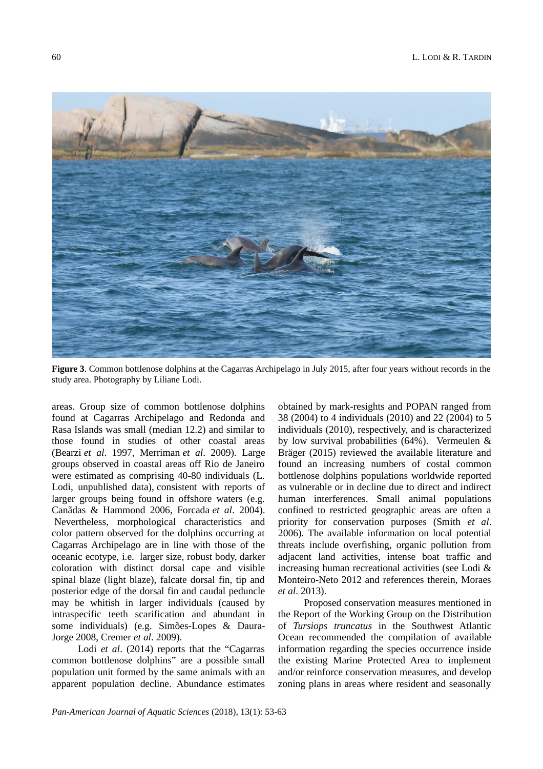

**Figure 3**. Common bottlenose dolphins at the Cagarras Archipelago in July 2015, after four years without records in the study area. Photography by Liliane Lodi.

areas. Group size of common bottlenose dolphins found at Cagarras Archipelago and Redonda and Rasa Islands was small (median 12.2) and similar to those found in studies of other coastal areas (Bearzi *et al*. 1997, Merriman *et al*. 2009). Large groups observed in coastal areas off Rio de Janeiro were estimated as comprising 40-80 individuals (L. Lodi, unpublished data), consistent with reports of larger groups being found in offshore waters (e.g. Canãdas & Hammond 2006, Forcada *et al*. 2004). Nevertheless, morphological characteristics and color pattern observed for the dolphins occurring at Cagarras Archipelago are in line with those of the oceanic ecotype, i.e. larger size, robust body, darker coloration with distinct dorsal cape and visible spinal blaze (light blaze), falcate dorsal fin, tip and posterior edge of the dorsal fin and caudal peduncle may be whitish in larger individuals (caused by intraspecific teeth scarification and abundant in some individuals) (e.g. Simões-Lopes & Daura-Jorge 2008, Cremer *et al*. 2009).

Lodi *et al*. (2014) reports that the "Cagarras common bottlenose dolphins" are a possible small population unit formed by the same animals with an apparent population decline. Abundance estimates

obtained by mark-resights and POPAN ranged from 38 (2004) to 4 individuals (2010) and 22 (2004) to 5 individuals (2010), respectively, and is characterized by low survival probabilities (64%). Vermeulen & Bräger (2015) reviewed the available literature and found an increasing numbers of costal common bottlenose dolphins populations worldwide reported as vulnerable or in decline due to direct and indirect human interferences. Small animal populations confined to restricted geographic areas are often a priority for conservation purposes (Smith *et al*. 2006). The available information on local potential threats include overfishing, organic pollution from adjacent land activities, intense boat traffic and increasing human recreational activities (see Lodi & Monteiro-Neto 2012 and references therein, Moraes *et al*. 2013).

Proposed conservation measures mentioned in the Report of the Working Group on the Distribution of *Tursiops truncatus* in the Southwest Atlantic Ocean recommended the compilation of available information regarding the species occurrence inside the existing Marine Protected Area to implement and/or reinforce conservation measures, and develop zoning plans in areas where resident and seasonally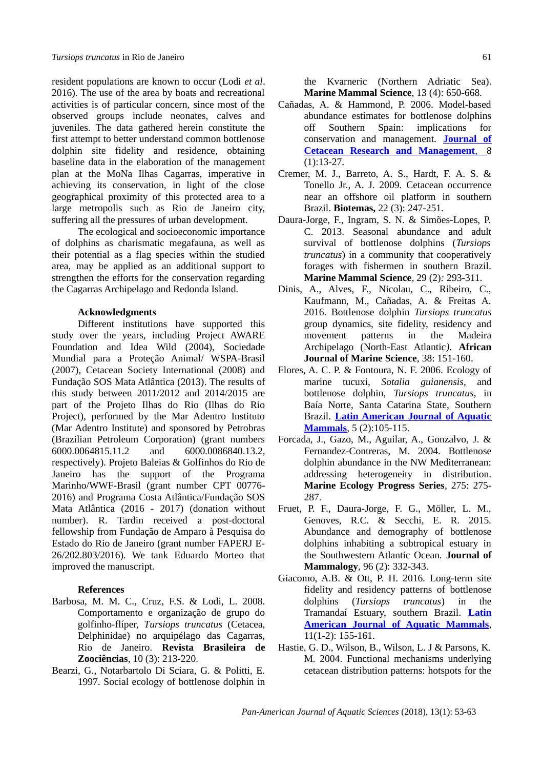resident populations are known to occur (Lodi *et al*. 2016). The use of the area by boats and recreational activities is of particular concern, since most of the observed groups include neonates, calves and juveniles. The data gathered herein constitute the first attempt to better understand common bottlenose dolphin site fidelity and residence, obtaining baseline data in the elaboration of the management plan at the MoNa Ilhas Cagarras, imperative in achieving its conservation, in light of the close geographical proximity of this protected area to a large metropolis such as Rio de Janeiro city, suffering all the pressures of urban development.

The ecological and socioeconomic importance of dolphins as charismatic megafauna, as well as their potential as a flag species within the studied area, may be applied as an additional support to strengthen the efforts for the conservation regarding the Cagarras Archipelago and Redonda Island.

#### **Acknowledgments**

Different institutions have supported this study over the years, including Project AWARE Foundation and Idea Wild (2004), Sociedade Mundial para a Proteção Animal/ WSPA-Brasil (2007), Cetacean Society International (2008) and Fundação SOS Mata Atlântica (2013). The results of this study between 2011/2012 and 2014/2015 are part of the Projeto Ilhas do Rio (Ilhas do Rio Project), performed by the Mar Adentro Instituto (Mar Adentro Institute) and sponsored by Petrobras (Brazilian Petroleum Corporation) (grant numbers 6000.0064815.11.2 and 6000.0086840.13.2, respectively). Projeto Baleias & Golfinhos do Rio de Janeiro has the support of the Programa Marinho/WWF-Brasil (grant number CPT 00776- 2016) and Programa Costa Atlântica/Fundação SOS Mata Atlântica (2016 - 2017) (donation without number). R. Tardin received a post-doctoral fellowship from Fundação de Amparo à Pesquisa do Estado do Rio de Janeiro (grant number FAPERJ E-26/202.803/2016). We tank Eduardo Morteo that improved the manuscript.

# **References**

- Barbosa, M. M. C., Cruz, F.S. & Lodi, L. 2008. Comportamento e organização de grupo do golfinho-flíper, *Tursiops truncatus* (Cetacea, Delphinidae) no arquipélago das Cagarras, Rio de Janeiro. **Revista Brasileira de Zoociências**, 10 (3): 213-220.
- Bearzi, G., Notarbartolo Di Sciara, G. & Politti, E. 1997. Social ecology of bottlenose dolphin in

the Kvarneric (Northern Adriatic Sea). **Marine Mammal Science**, 13 (4): 650-668.

- Cañadas, A. & Hammond, P. 2006. Model-based abundance estimates for bottlenose dolphins off Southern Spain: implications for conservation and management. **[Journal of](https://www.google.com.br/url?sa=t&rct=j&q=&esrc=s&source=web&cd=1&cad=rja&uact=8&ved=0ahUKEwjyi8eXwK7WAhUFh5AKHbdcDYYQFggnMAA&url=https%3A%2F%2Fiwc.int%2Fjcrm&usg=AFQjCNHzBIK-V6rUKAyGTlCF_xCWsiZEuQ) Cetacean Research and Management, 8**  $(1):13-27.$
- Cremer, M. J., Barreto, A. S., Hardt, F. A. S. & Tonello Jr., A. J. 2009. Cetacean occurrence near an offshore oil platform in southern Brazil. **Biotemas,** 22 (3): 247-251.
- Daura-Jorge, F., Ingram, S. N. & Simões-Lopes, P. C. 2013. Seasonal abundance and adult survival of bottlenose dolphins (*Tursiops truncatus*) in a community that cooperatively forages with fishermen in southern Brazil. **Marine Mammal Science**, 29 (2)*:* 293-311.
- Dinis, A., Alves, F., Nicolau, C., Ribeiro, C., Kaufmann, M., Cañadas, A. & Freitas A. 2016. Bottlenose dolphin *Tursiops truncatus* group dynamics, site fidelity, residency and movement patterns in the Madeira Archipelago (North-East Atlantic*).* **African Journal of Marine Science**, 38: 151-160.
- Flores, A. C. P. & Fontoura, N. F. 2006. Ecology of marine tucuxi, *Sotalia guianensis*, and bottlenose dolphin, *Tursiops truncatus*, in Baía Norte, Santa Catarina State, Southern Brazil. **[Latin American Journal of Aquatic](https://www.google.com.br/url?sa=t&rct=j&q=&esrc=s&source=web&cd=1&cad=rja&uact=8&ved=0ahUKEwiflOGTwa7WAhUHkZAKHWssCswQFggnMAA&url=http%3A%2F%2Flajamjournal.org%2F&usg=AFQjCNEevaT5arOQDLQ1FYpxcIjMN3BkYg) [Mammals](https://www.google.com.br/url?sa=t&rct=j&q=&esrc=s&source=web&cd=1&cad=rja&uact=8&ved=0ahUKEwiflOGTwa7WAhUHkZAKHWssCswQFggnMAA&url=http%3A%2F%2Flajamjournal.org%2F&usg=AFQjCNEevaT5arOQDLQ1FYpxcIjMN3BkYg)**, 5 (2):105-115.
- Forcada, J., Gazo, M., Aguilar, A., Gonzalvo, J. & Fernandez-Contreras, M. 2004. Bottlenose dolphin abundance in the NW Mediterranean: addressing heterogeneity in distribution. **Marine Ecology Progress Series**, 275: 275- 287.
- Fruet, P. F., Daura-Jorge, F. G., Möller, L. M., Genoves, R.C. & Secchi, E. R. 2015. Abundance and demography of bottlenose dolphins inhabiting a subtropical estuary in the Southwestern Atlantic Ocean. **Journal of Mammalogy**, 96 (2): 332-343.
- Giacomo, A.B. & Ott, P. H. 2016. Long-term site fidelity and residency patterns of bottlenose dolphins (*Tursiops truncatus*) in the Tramandaí Estuary, southern Brazil. **[Latin](https://www.google.com.br/url?sa=t&rct=j&q=&esrc=s&source=web&cd=1&cad=rja&uact=8&ved=0ahUKEwiflOGTwa7WAhUHkZAKHWssCswQFggnMAA&url=http%3A%2F%2Flajamjournal.org%2F&usg=AFQjCNEevaT5arOQDLQ1FYpxcIjMN3BkYg) [American Journal of Aquatic Mammals](https://www.google.com.br/url?sa=t&rct=j&q=&esrc=s&source=web&cd=1&cad=rja&uact=8&ved=0ahUKEwiflOGTwa7WAhUHkZAKHWssCswQFggnMAA&url=http%3A%2F%2Flajamjournal.org%2F&usg=AFQjCNEevaT5arOQDLQ1FYpxcIjMN3BkYg)**, 11(1-2): 155-161.
- Hastie, G. D., Wilson, B., Wilson, L. J & Parsons, K. M. 2004. Functional mechanisms underlying cetacean distribution patterns: hotspots for the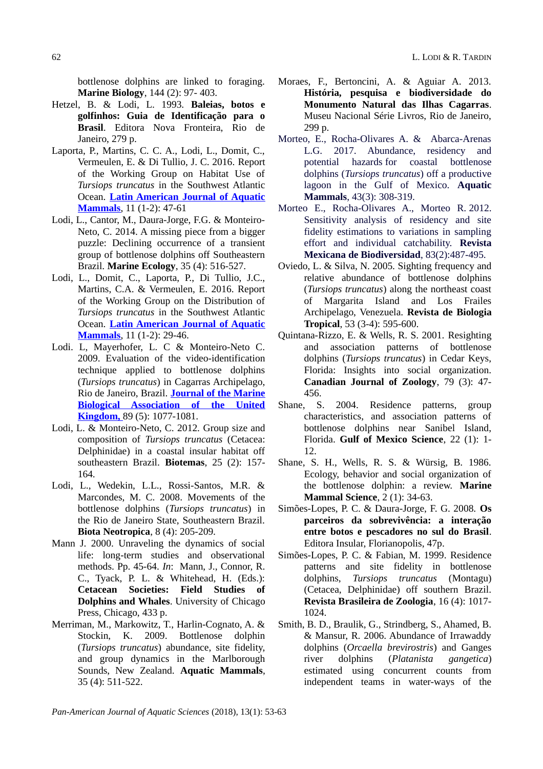bottlenose dolphins are linked to foraging. **Marine Biology**, 144 (2): 97- 403.

- Hetzel, B. & Lodi, L. 1993. **Baleias, botos e golfinhos: Guia de Identificação para o Brasil**. Editora Nova Fronteira, Rio de Janeiro, 279 p.
- Laporta, P., Martins, C. C. A., Lodi, L., Domit, C., Vermeulen, E. & Di Tullio, J. C. 2016. Report of the Working Group on Habitat Use of *Tursiops truncatus* in the Southwest Atlantic Ocean. **[Latin American Journal of Aquatic](https://www.google.com.br/url?sa=t&rct=j&q=&esrc=s&source=web&cd=1&cad=rja&uact=8&ved=0ahUKEwiflOGTwa7WAhUHkZAKHWssCswQFggnMAA&url=http%3A%2F%2Flajamjournal.org%2F&usg=AFQjCNEevaT5arOQDLQ1FYpxcIjMN3BkYg) [Mammals](https://www.google.com.br/url?sa=t&rct=j&q=&esrc=s&source=web&cd=1&cad=rja&uact=8&ved=0ahUKEwiflOGTwa7WAhUHkZAKHWssCswQFggnMAA&url=http%3A%2F%2Flajamjournal.org%2F&usg=AFQjCNEevaT5arOQDLQ1FYpxcIjMN3BkYg)**, 11 (1-2): 47-61
- Lodi, L., Cantor, M., Daura-Jorge, F.G. & Monteiro-Neto, C. 2014. A missing piece from a bigger puzzle: Declining occurrence of a transient group of bottlenose dolphins off Southeastern Brazil. **Marine Ecology**, 35 (4): 516-527.
- Lodi, L., Domit, C., Laporta, P., Di Tullio, J.C., Martins, C.A. & Vermeulen, E. 2016. Report of the Working Group on the Distribution of *Tursiops truncatus* in the Southwest Atlantic Ocean. **[Latin American Journal of Aquatic](https://www.google.com.br/url?sa=t&rct=j&q=&esrc=s&source=web&cd=1&cad=rja&uact=8&ved=0ahUKEwiflOGTwa7WAhUHkZAKHWssCswQFggnMAA&url=http%3A%2F%2Flajamjournal.org%2F&usg=AFQjCNEevaT5arOQDLQ1FYpxcIjMN3BkYg) [Mammals](https://www.google.com.br/url?sa=t&rct=j&q=&esrc=s&source=web&cd=1&cad=rja&uact=8&ved=0ahUKEwiflOGTwa7WAhUHkZAKHWssCswQFggnMAA&url=http%3A%2F%2Flajamjournal.org%2F&usg=AFQjCNEevaT5arOQDLQ1FYpxcIjMN3BkYg)**, 11 (1-2): 29-46.
- Lodi. L, Mayerhofer, L. C & Monteiro-Neto C. 2009. Evaluation of the video-identification technique applied to bottlenose dolphins (*Tursiops truncatus*) in Cagarras Archipelago, Rio de Janeiro, Brazil. **[Journal of the Marine](https://www.google.com.br/url?sa=t&rct=j&q=&esrc=s&source=web&cd=1&cad=rja&uact=8&ved=0ahUKEwjS_smrw67WAhVIvJAKHeIEC00QFggnMAA&url=https%3A%2F%2Fwww.cambridge.org%2Fcore%2Fjournals%2Fjournal-of-the-marine-biological-association-of-the-united-kingdom&usg=AFQjCNFx-5tsAKaGqyWJnK3UeGlMbg1fjw) [Biological Association of the United](https://www.google.com.br/url?sa=t&rct=j&q=&esrc=s&source=web&cd=1&cad=rja&uact=8&ved=0ahUKEwjS_smrw67WAhVIvJAKHeIEC00QFggnMAA&url=https%3A%2F%2Fwww.cambridge.org%2Fcore%2Fjournals%2Fjournal-of-the-marine-biological-association-of-the-united-kingdom&usg=AFQjCNFx-5tsAKaGqyWJnK3UeGlMbg1fjw)  [Kingdom,](https://www.google.com.br/url?sa=t&rct=j&q=&esrc=s&source=web&cd=1&cad=rja&uact=8&ved=0ahUKEwjS_smrw67WAhVIvJAKHeIEC00QFggnMAA&url=https%3A%2F%2Fwww.cambridge.org%2Fcore%2Fjournals%2Fjournal-of-the-marine-biological-association-of-the-united-kingdom&usg=AFQjCNFx-5tsAKaGqyWJnK3UeGlMbg1fjw)** 89 (5): 1077-1081.
- Lodi, L. & Monteiro-Neto, C. 2012. Group size and composition of *Tursiops truncatus* (Cetacea: Delphinidae) in a coastal insular habitat off southeastern Brazil. **Biotemas**, 25 (2): 157- 164.
- Lodi, L., Wedekin, L.L., Rossi-Santos, M.R. & Marcondes, M. C. 2008. Movements of the bottlenose dolphins (*Tursiops truncatus*) in the Rio de Janeiro State, Southeastern Brazil. **Biota Neotropica**, 8 (4): 205-209.
- Mann J. 2000. Unraveling the dynamics of social life: long-term studies and observational methods. Pp. 45-64. *In*: Mann, J., Connor, R. C., Tyack, P. L. & Whitehead, H. (Eds.): **Cetacean Societies: Field Studies of Dolphins and Whales**. University of Chicago Press, Chicago, 433 p.
- Merriman, M., Markowitz, T., Harlin-Cognato, A. & Stockin, K. 2009. Bottlenose dolphin (*Tursiops truncatus*) abundance, site fidelity, and group dynamics in the Marlborough Sounds, New Zealand. **Aquatic Mammals**, 35 (4): 511-522.
- Moraes, F., Bertoncini, A. & Aguiar A. 2013. **História, pesquisa e biodiversidade do Monumento Natural das Ilhas Cagarras**. Museu Nacional Série Livros, Rio de Janeiro, 299 p.
- Morteo, E., Rocha-Olivares A. & Abarca-Arenas L.G. 2017. Abundance, residency and potential hazards for coastal bottlenose dolphins (*Tursiops truncatus*) off a productive lagoon in the Gulf of Mexico. **Aquatic Mammals**, 43(3): 308-319.
- Morteo E., Rocha-Olivares A., Morteo R. 2012. Sensitivity analysis of residency and site fidelity estimations to variations in sampling effort and individual catchability. **Revista Mexicana de Biodiversidad**, 83(2):487-495.
- Oviedo, L. & Silva, N. 2005. Sighting frequency and relative abundance of bottlenose dolphins (*Tursiops truncatus*) along the northeast coast of Margarita Island and Los Frailes Archipelago, Venezuela. **Revista de Biologia Tropical**, 53 (3-4): 595-600.
- Quintana-Rizzo, E. & Wells, R. S. 2001. Resighting and association patterns of bottlenose dolphins (*Tursiops truncatus*) in Cedar Keys, Florida: Insights into social organization. **Canadian Journal of Zoology**, 79 (3): 47- 456.
- Shane, S. 2004. Residence patterns, group characteristics, and association patterns of bottlenose dolphins near Sanibel Island, Florida. **Gulf of Mexico Science**, 22 (1): 1- 12.
- Shane, S. H., Wells, R. S. & Würsig, B. 1986. Ecology, behavior and social organization of the bottlenose dolphin: a review. **Marine Mammal Science**, 2 (1): 34-63.
- Simões-Lopes, P. C. & Daura-Jorge, F. G. 2008. **Os parceiros da sobrevivência: a interação entre botos e pescadores no sul do Brasil**. Editora Insular, Florianopolis, 47p.
- Simões-Lopes, P. C. & Fabian, M. 1999. Residence patterns and site fidelity in bottlenose dolphins, *Tursiops truncatus* (Montagu) (Cetacea, Delphinidae) off southern Brazil. **Revista Brasileira de Zoologia**, 16 (4): 1017- 1024.
- Smith, B. D., Braulik, G., Strindberg, S., Ahamed, B. & Mansur, R. 2006. Abundance of Irrawaddy dolphins (*Orcaella brevirostris*) and Ganges river dolphins (*Platanista gangetica*) estimated using concurrent counts from independent teams in water-ways of the